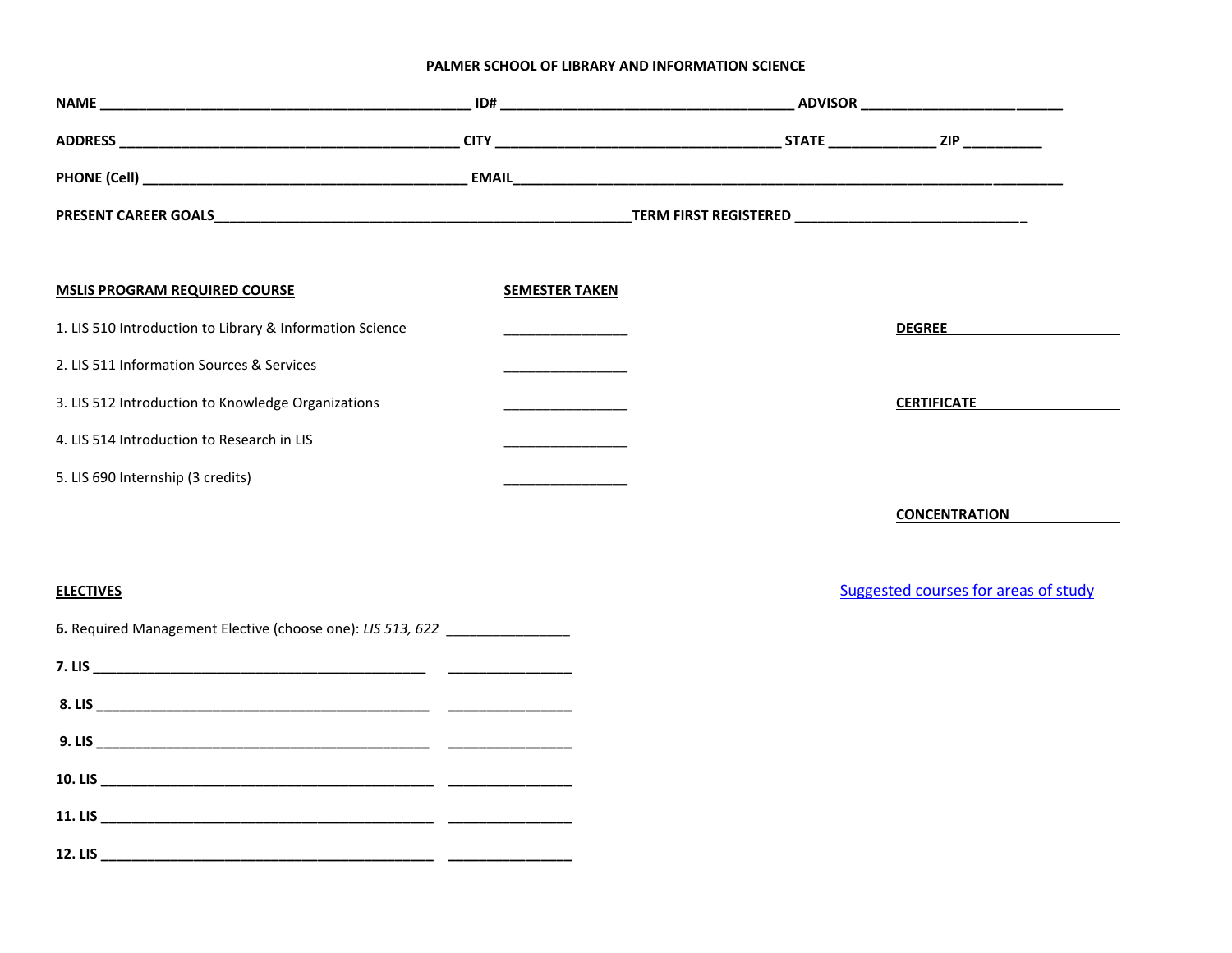## **PALMER SCHOOL OF LIBRARY AND INFORMATION SCIENCE**

| <b>MSLIS PROGRAM REQUIRED COURSE</b>                       | <b>SEMESTER TAKEN</b>                           |                                      |
|------------------------------------------------------------|-------------------------------------------------|--------------------------------------|
| 1. LIS 510 Introduction to Library & Information Science   |                                                 | <b>DEGREE Example 20</b>             |
| 2. LIS 511 Information Sources & Services                  | <u> 1990 - Johann Barnett, fransk politiker</u> |                                      |
| 3. LIS 512 Introduction to Knowledge Organizations         |                                                 | <b>CERTIFICATE</b>                   |
| 4. LIS 514 Introduction to Research in LIS                 |                                                 |                                      |
| 5. LIS 690 Internship (3 credits)                          |                                                 |                                      |
|                                                            |                                                 | <b>CONCENTRATION</b>                 |
|                                                            |                                                 |                                      |
| <b>ELECTIVES</b>                                           |                                                 | Suggested courses for areas of study |
| 6. Required Management Elective (choose one): LIS 513, 622 |                                                 |                                      |
|                                                            |                                                 |                                      |
|                                                            |                                                 |                                      |
|                                                            |                                                 |                                      |
|                                                            |                                                 |                                      |
|                                                            |                                                 |                                      |
|                                                            |                                                 |                                      |